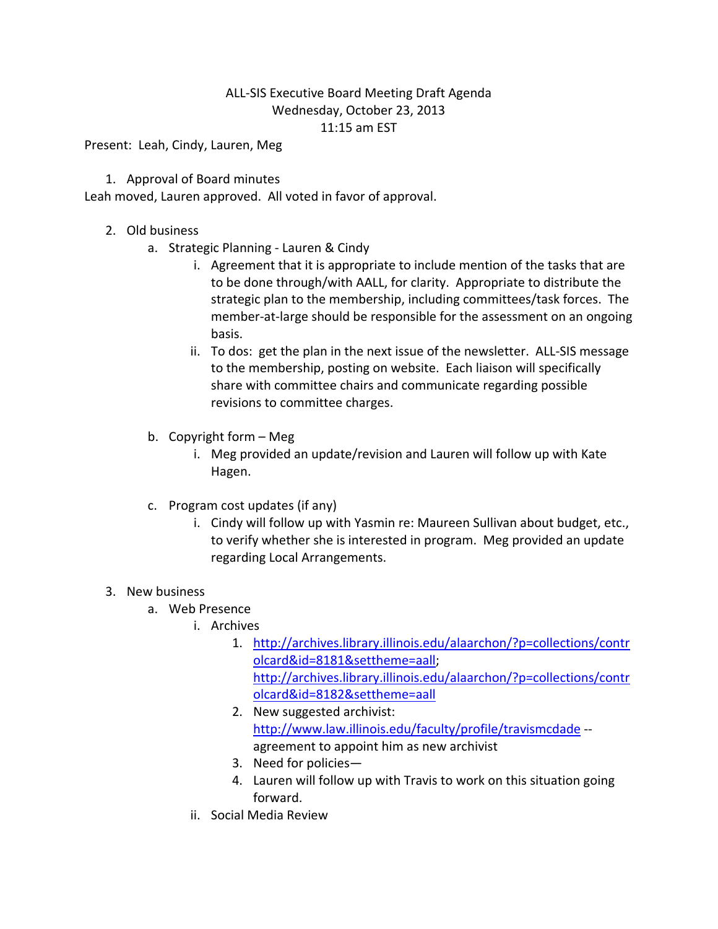# ALL-SIS Executive Board Meeting Draft Agenda Wednesday, October 23, 2013 11:15 am EST

Present: Leah, Cindy, Lauren, Meg

#### 1. Approval of Board minutes

Leah moved, Lauren approved. All voted in favor of approval.

### 2. Old business

- a. Strategic Planning Lauren & Cindy
	- i. Agreement that it is appropriate to include mention of the tasks that are to be done through/with AALL, for clarity. Appropriate to distribute the strategic plan to the membership, including committees/task forces. The member-at-large should be responsible for the assessment on an ongoing basis.
	- ii. To dos: get the plan in the next issue of the newsletter. ALL-SIS message to the membership, posting on website. Each liaison will specifically share with committee chairs and communicate regarding possible revisions to committee charges.
- b. Copyright form Meg
	- i. Meg provided an update/revision and Lauren will follow up with Kate Hagen.
- c. Program cost updates (if any)
	- i. Cindy will follow up with Yasmin re: Maureen Sullivan about budget, etc., to verify whether she is interested in program. Meg provided an update regarding Local Arrangements.

### 3. New business

- a. Web Presence
	- i. Archives
		- 1. [http://archives.library.illinois.edu/alaarchon/?p=collections/contr](http://archives.library.illinois.edu/alaarchon/?p=collections/controlcard&id=8181&settheme=aall) [olcard&id=8181&settheme=aall;](http://archives.library.illinois.edu/alaarchon/?p=collections/controlcard&id=8181&settheme=aall) [http://archives.library.illinois.edu/alaarchon/?p=collections/contr](http://archives.library.illinois.edu/alaarchon/?p=collections/controlcard&id=8182&settheme=aall) [olcard&id=8182&settheme=aall](http://archives.library.illinois.edu/alaarchon/?p=collections/controlcard&id=8182&settheme=aall)
		- 2. New suggested archivist: <http://www.law.illinois.edu/faculty/profile/travismcdade> - agreement to appoint him as new archivist
		- 3. Need for policies—
		- 4. Lauren will follow up with Travis to work on this situation going forward.
	- ii. Social Media Review